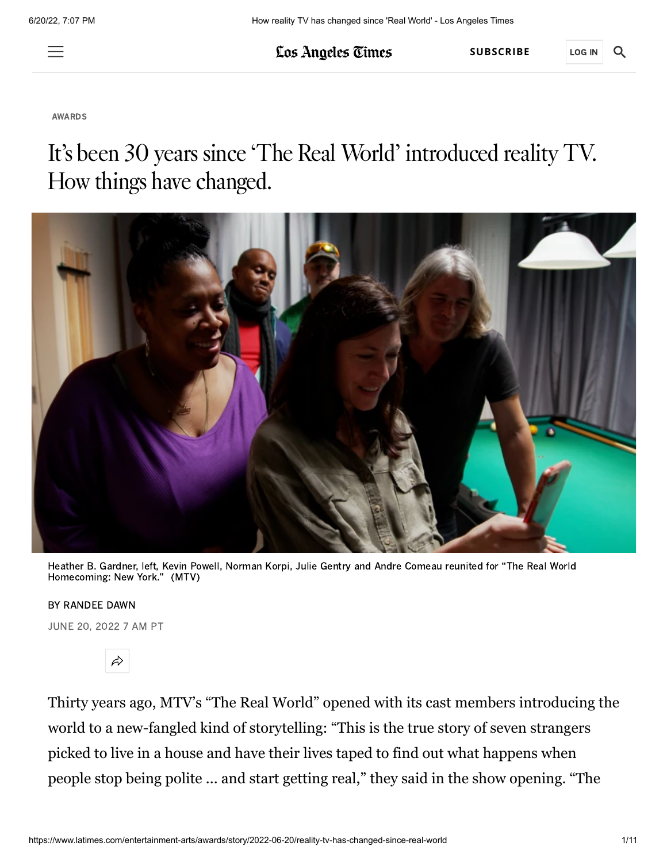$\equiv$ 

Los Angeles Times

**[SUBSCRIBE](https://www.latimes.com/subscriptions/digital.html?int_source=marketing_content&int_medium=SB&int_campaign=LAFA22&int_id=3473&returnUrl=https%3A%2F%2Fwww.latimes.com%2Fentertainment-arts%2Fawards%2Fstory%2F2022-06-20%2Freality-tv-has-changed-since-real-world)** LOG IN

Q.

[AWARDS](https://www.latimes.com/entertainment-arts/awards)

# It's been 30 years since 'The Real World' introduced reality TV. How things have changed.



Heather B. Gardner, left, Kevin Powell, Norman Korpi, Julie Gentry and Andre Comeau reunited for "The Real World Homecoming: New York." (MTV)

#### BY RANDEE DAWN

JUNE 20, 2022 7 AM PT



Thirty years ago, MTV's "The Real World" opened with its cast members introducing the world to a new-fangled kind of storytelling: "This is the true story of seven strangers picked to live in a house and have their lives taped to find out what happens when people stop being polite ... and start getting real," they said in the show opening. "The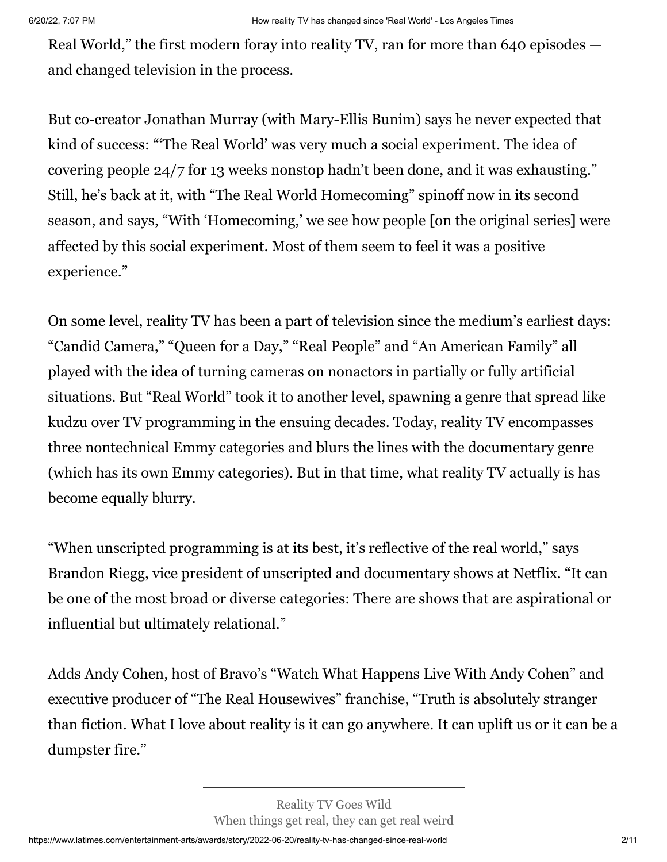Real World," the first modern foray into reality TV, ran for more than 640 episodes and changed television in the process.

But co-creator Jonathan Murray (with Mary-Ellis Bunim) says he never expected that kind of success: "'The Real World' was very much a social experiment. The idea of covering people 24/7 for 13 weeks nonstop hadn't been done, and it was exhausting." Still, he's back at it, with "The Real World Homecoming" spinoff now in its second season, and says, "With 'Homecoming,' we see how people [on the original series] were affected by this social experiment. Most of them seem to feel it was a positive experience."

On some level, reality TV has been a part of television since the medium's earliest days: "Candid Camera," "Queen for a Day," "Real People" and "An American Family" all played with the idea of turning cameras on nonactors in partially or fully artificial situations. But "Real World" took it to another level, spawning a genre that spread like kudzu over TV programming in the ensuing decades. Today, reality TV encompasses three nontechnical Emmy categories and blurs the lines with the documentary genre (which has its own Emmy categories). But in that time, what reality TV actually is has become equally blurry.

"When unscripted programming is at its best, it's reflective of the real world," says Brandon Riegg, vice president of unscripted and documentary shows at Netflix. "It can be one of the most broad or diverse categories: There are shows that are aspirational or influential but ultimately relational."

Adds Andy Cohen, host of Bravo's "Watch What Happens Live With Andy Cohen" and executive producer of "The Real Housewives" franchise, "Truth is absolutely stranger than fiction. What I love about reality is it can go anywhere. It can uplift us or it can be a dumpster fire."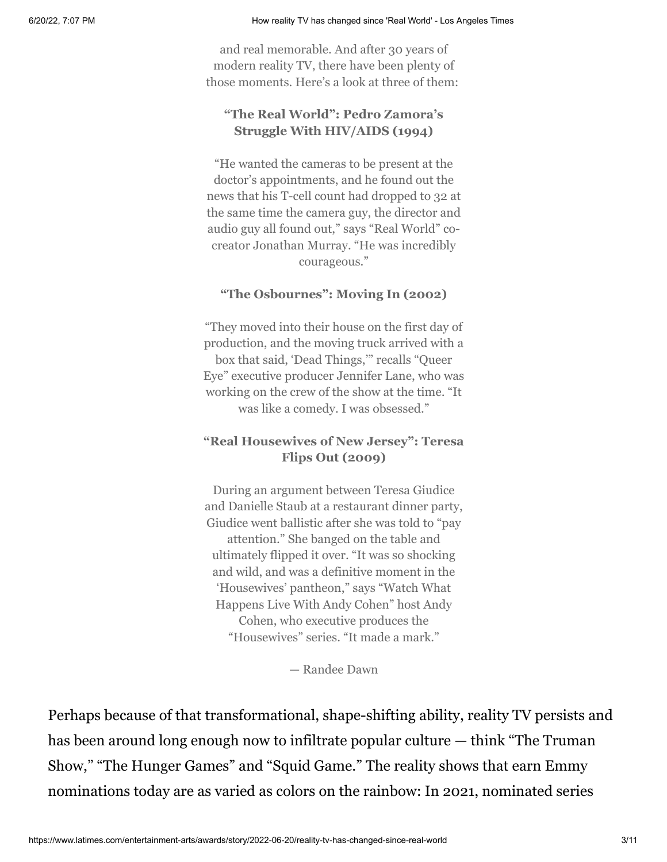and real memorable. And after 30 years of modern reality TV, there have been plenty of those moments. Here's a look at three of them:

## **"The Real World": Pedro Zamora's Struggle With HIV/AIDS (1994)**

"He wanted the cameras to be present at the doctor's appointments, and he found out the news that his T-cell count had dropped to 32 at the same time the camera guy, the director and audio guy all found out," says "Real World" cocreator Jonathan Murray. "He was incredibly courageous."

### **"The Osbournes": Moving In (2002)**

"They moved into their house on the first day of production, and the moving truck arrived with a box that said, 'Dead Things,'" recalls "Queer Eye" executive producer Jennifer Lane, who was working on the crew of the show at the time. "It was like a comedy. I was obsessed."

## **"Real Housewives of New Jersey": Teresa Flips Out (2009)**

During an argument between Teresa Giudice and Danielle Staub at a restaurant dinner party, Giudice went ballistic after she was told to "pay attention." She banged on the table and ultimately flipped it over. "It was so shocking and wild, and was a definitive moment in the 'Housewives' pantheon," says "Watch What Happens Live With Andy Cohen" host Andy Cohen, who executive produces the "Housewives" series. "It made a mark."

— Randee Dawn

Perhaps because of that transformational, shape-shifting ability, reality TV persists and has been around long enough now to infiltrate popular culture — think "The Truman Show," "The Hunger Games" and "Squid Game." The reality shows that earn Emmy nominations today are as varied as colors on the rainbow: In 2021, nominated series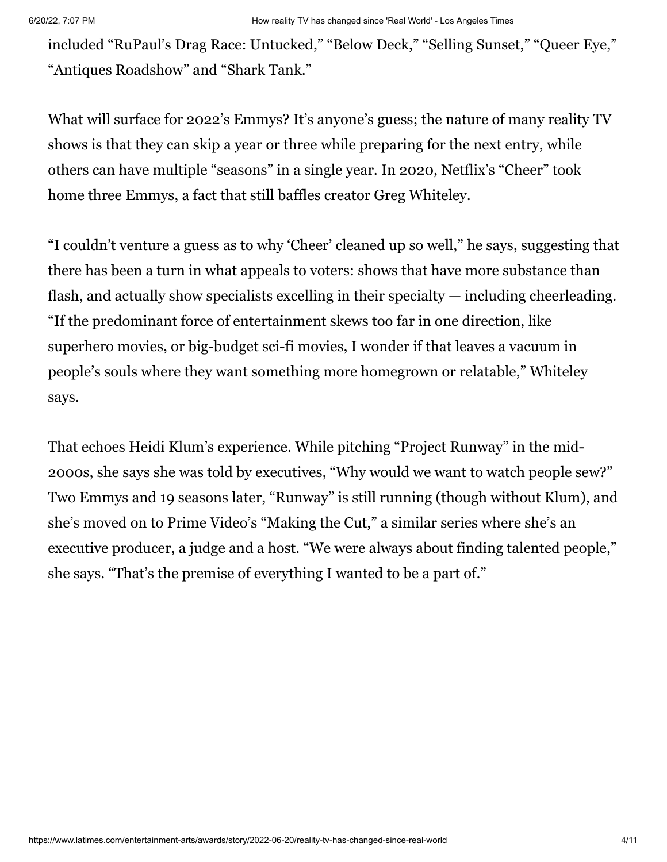included "RuPaul's Drag Race: Untucked," "Below Deck," "Selling Sunset," "Queer Eye," "Antiques Roadshow" and "Shark Tank."

What will surface for 2022's Emmys? It's anyone's guess; the nature of many reality TV shows is that they can skip a year or three while preparing for the next entry, while others can have multiple "seasons" in a single year. In 2020, Netflix's "Cheer" took home three Emmys, a fact that still baffles creator Greg Whiteley.

"I couldn't venture a guess as to why 'Cheer' cleaned up so well," he says, suggesting that there has been a turn in what appeals to voters: shows that have more substance than flash, and actually show specialists excelling in their specialty — including cheerleading. "If the predominant force of entertainment skews too far in one direction, like superhero movies, or big-budget sci-fi movies, I wonder if that leaves a vacuum in people's souls where they want something more homegrown or relatable," Whiteley says.

That echoes Heidi Klum's experience. While pitching "Project Runway" in the mid-2000s, she says she was told by executives, "Why would we want to watch people sew?" Two Emmys and 19 seasons later, "Runway" is still running (though without Klum), and she's moved on to Prime Video's "Making the Cut," a similar series where she's an executive producer, a judge and a host. "We were always about finding talented people," she says. "That's the premise of everything I wanted to be a part of."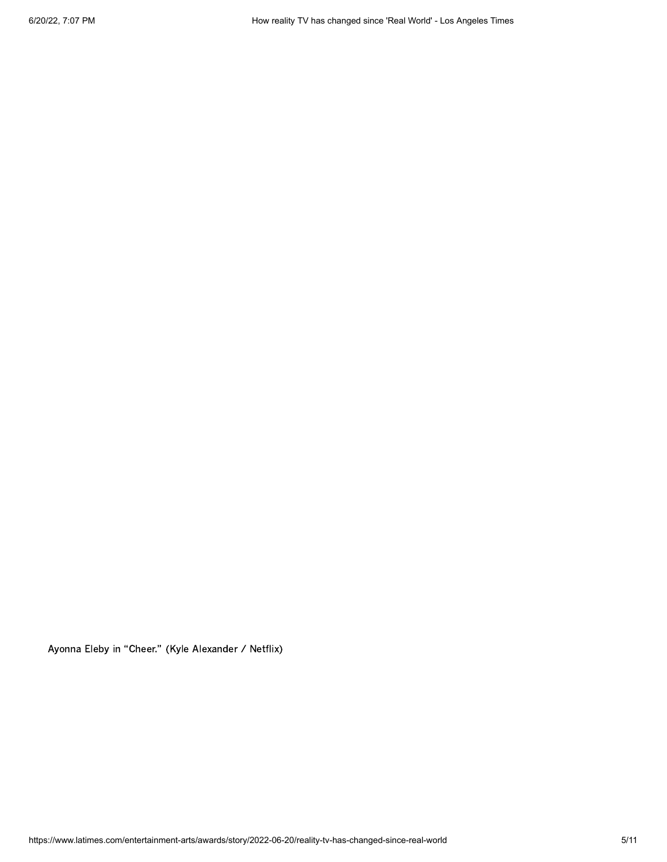Ayonna Eleby in "Cheer." (Kyle Alexander / Netflix)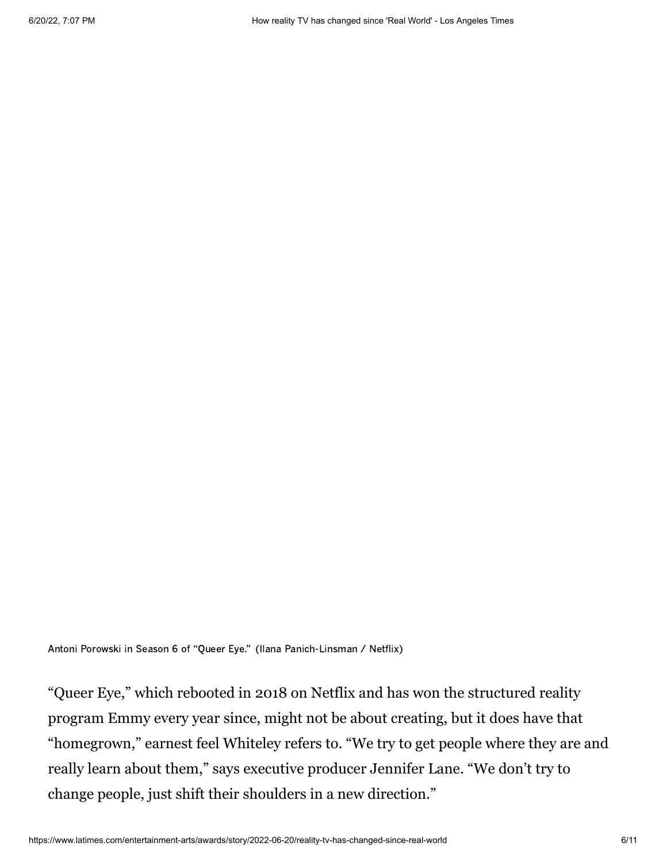Antoni Porowski in Season 6 of "Queer Eye." (Ilana Panich-Linsman / Netflix)

"Queer Eye," which rebooted in 2018 on Netflix and has won the structured reality program Emmy every year since, might not be about creating, but it does have that "homegrown," earnest feel Whiteley refers to. "We try to get people where they are and really learn about them," says executive producer Jennifer Lane. "We don't try to change people, just shift their shoulders in a new direction."